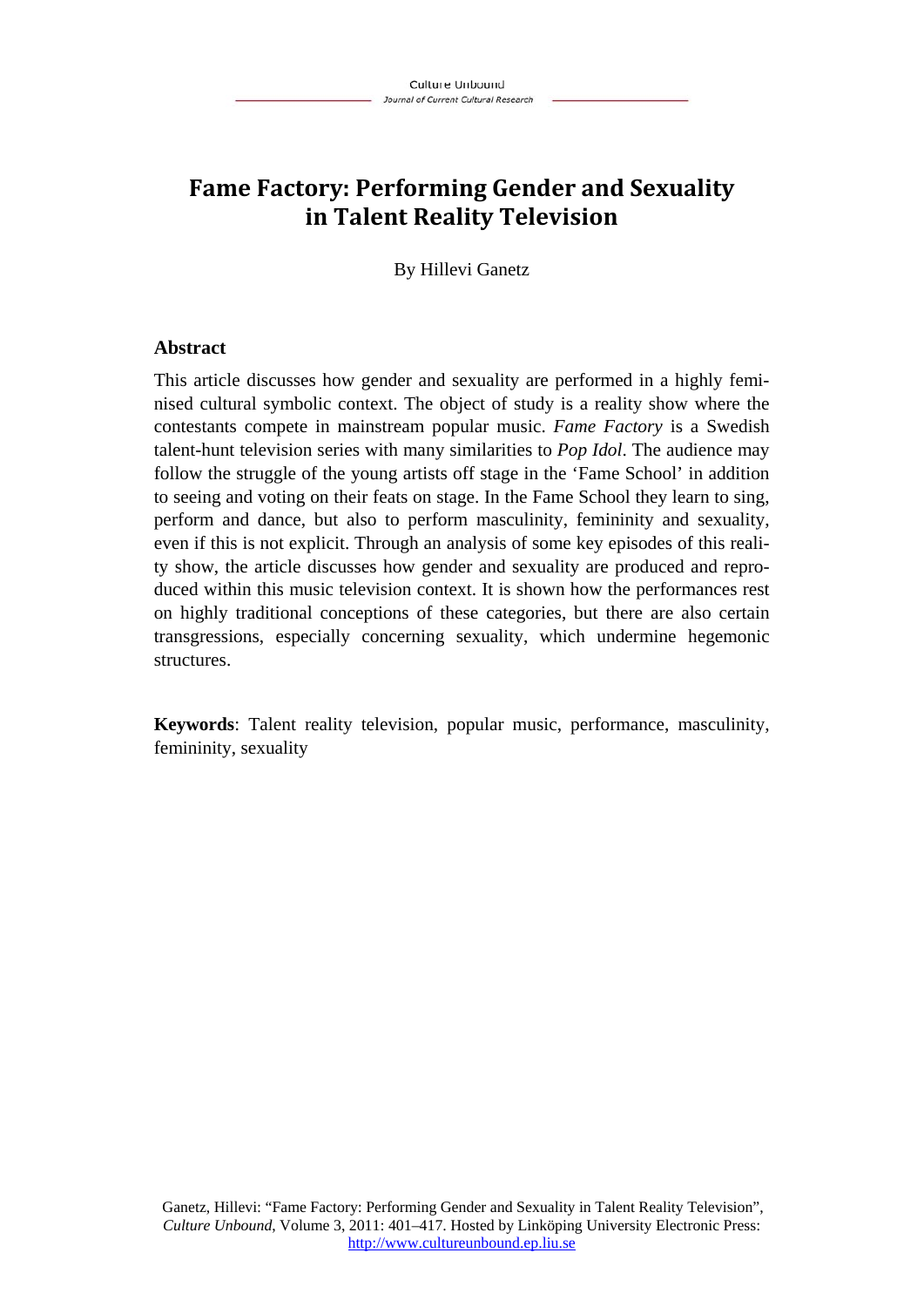# **Fame Factory: Performing Gender and Sexuality in Talent Reality Television**

By Hillevi Ganetz

### **Abstract**

This article discusses how gender and sexuality are performed in a highly feminised cultural symbolic context. The object of study is a reality show where the contestants compete in mainstream popular music. *Fame Factory* is a Swedish talent-hunt television series with many similarities to *Pop Idol*. The audience may follow the struggle of the young artists off stage in the 'Fame School' in addition to seeing and voting on their feats on stage. In the Fame School they learn to sing, perform and dance, but also to perform masculinity, femininity and sexuality, even if this is not explicit. Through an analysis of some key episodes of this reality show, the article discusses how gender and sexuality are produced and reproduced within this music television context. It is shown how the performances rest on highly traditional conceptions of these categories, but there are also certain transgressions, especially concerning sexuality, which undermine hegemonic structures.

**Keywords**: Talent reality television, popular music, performance, masculinity, femininity, sexuality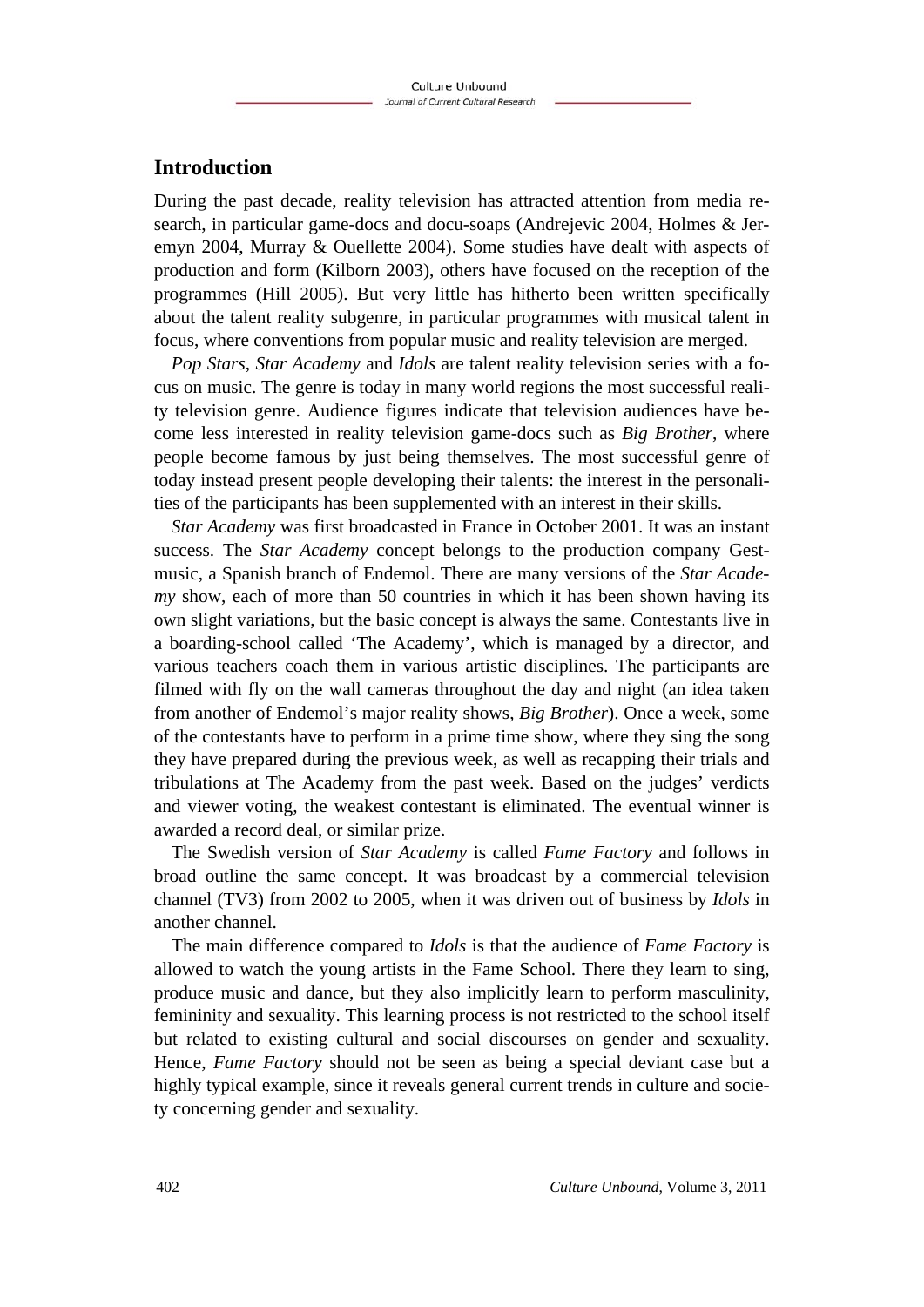### **Introduction**

During the past decade, reality television has attracted attention from media research, in particular game-docs and docu-soaps (Andrejevic 2004, Holmes & Jeremyn 2004, Murray & Ouellette 2004). Some studies have dealt with aspects of production and form (Kilborn 2003), others have focused on the reception of the programmes (Hill 2005). But very little has hitherto been written specifically about the talent reality subgenre, in particular programmes with musical talent in focus, where conventions from popular music and reality television are merged.

*Pop Stars*, *Star Academy* and *Idols* are talent reality television series with a focus on music. The genre is today in many world regions the most successful reality television genre. Audience figures indicate that television audiences have become less interested in reality television game-docs such as *Big Brother*, where people become famous by just being themselves. The most successful genre of today instead present people developing their talents: the interest in the personalities of the participants has been supplemented with an interest in their skills.

*Star Academy* was first broadcasted in France in October 2001. It was an instant success. The *Star Academy* concept belongs to the production company Gestmusic, a Spanish branch of Endemol. There are many versions of the *Star Academy* show, each of more than 50 countries in which it has been shown having its own slight variations, but the basic concept is always the same. Contestants live in a boarding-school called 'The Academy', which is managed by a director, and various teachers coach them in various artistic disciplines. The participants are filmed with fly on the wall cameras throughout the day and night (an idea taken from another of Endemol's major reality shows, *Big Brother*). Once a week, some of the contestants have to perform in a prime time show, where they sing the song they have prepared during the previous week, as well as recapping their trials and tribulations at The Academy from the past week. Based on the judges' verdicts and viewer voting, the weakest contestant is eliminated. The eventual winner is awarded a record deal, or similar prize.

The Swedish version of *Star Academy* is called *Fame Factory* and follows in broad outline the same concept. It was broadcast by a commercial television channel (TV3) from 2002 to 2005, when it was driven out of business by *Idols* in another channel.

The main difference compared to *Idols* is that the audience of *Fame Factory* is allowed to watch the young artists in the Fame School. There they learn to sing, produce music and dance, but they also implicitly learn to perform masculinity, femininity and sexuality. This learning process is not restricted to the school itself but related to existing cultural and social discourses on gender and sexuality. Hence, *Fame Factory* should not be seen as being a special deviant case but a highly typical example, since it reveals general current trends in culture and society concerning gender and sexuality.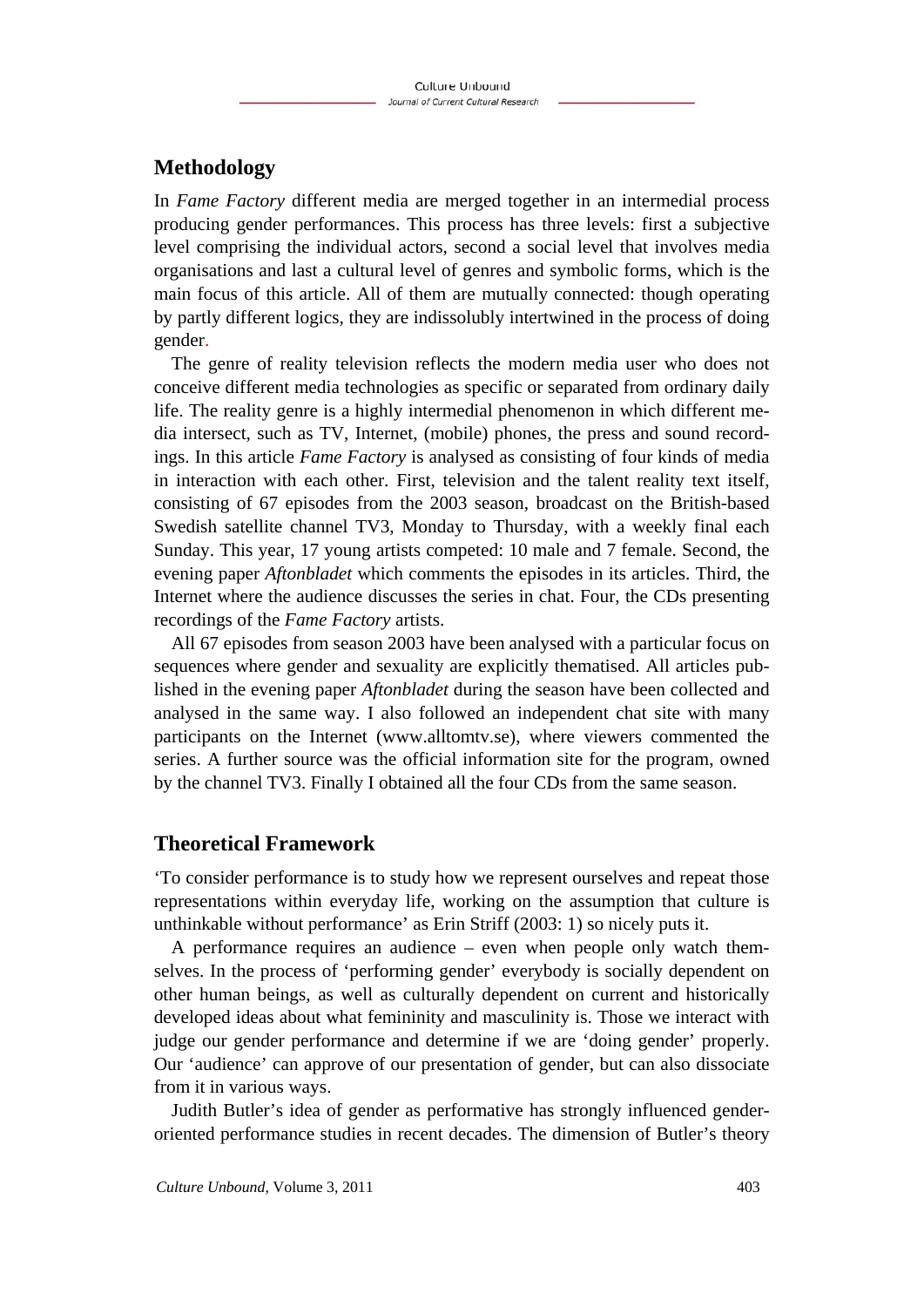## **Methodology**

In *Fame Factory* different media are merged together in an intermedial process producing gender performances. This process has three levels: first a subjective level comprising the individual actors, second a social level that involves media organisations and last a cultural level of genres and symbolic forms, which is the main focus of this article. All of them are mutually connected: though operating by partly different logics, they are indissolubly intertwined in the process of doing gender.

The genre of reality television reflects the modern media user who does not conceive different media technologies as specific or separated from ordinary daily life. The reality genre is a highly intermedial phenomenon in which different media intersect, such as TV, Internet, (mobile) phones, the press and sound recordings. In this article *Fame Factory* is analysed as consisting of four kinds of media in interaction with each other. First, television and the talent reality text itself, consisting of 67 episodes from the 2003 season, broadcast on the British-based Swedish satellite channel TV3, Monday to Thursday, with a weekly final each Sunday. This year, 17 young artists competed: 10 male and 7 female. Second, the evening paper *Aftonbladet* which comments the episodes in its articles. Third, the Internet where the audience discusses the series in chat. Four, the CDs presenting recordings of the *Fame Factory* artists.

All 67 episodes from season 2003 have been analysed with a particular focus on sequences where gender and sexuality are explicitly thematised. All articles published in the evening paper *Aftonbladet* during the season have been collected and analysed in the same way. I also followed an independent chat site with many participants on the Internet (www.alltomtv.se), where viewers commented the series. A further source was the official information site for the program, owned by the channel TV3. Finally I obtained all the four CDs from the same season.

### **Theoretical Framework**

'To consider performance is to study how we represent ourselves and repeat those representations within everyday life, working on the assumption that culture is unthinkable without performance' as Erin Striff (2003: 1) so nicely puts it.

A performance requires an audience – even when people only watch themselves. In the process of 'performing gender' everybody is socially dependent on other human beings, as well as culturally dependent on current and historically developed ideas about what femininity and masculinity is. Those we interact with judge our gender performance and determine if we are 'doing gender' properly. Our 'audience' can approve of our presentation of gender, but can also dissociate from it in various ways.

Judith Butler's idea of gender as performative has strongly influenced genderoriented performance studies in recent decades. The dimension of Butler's theory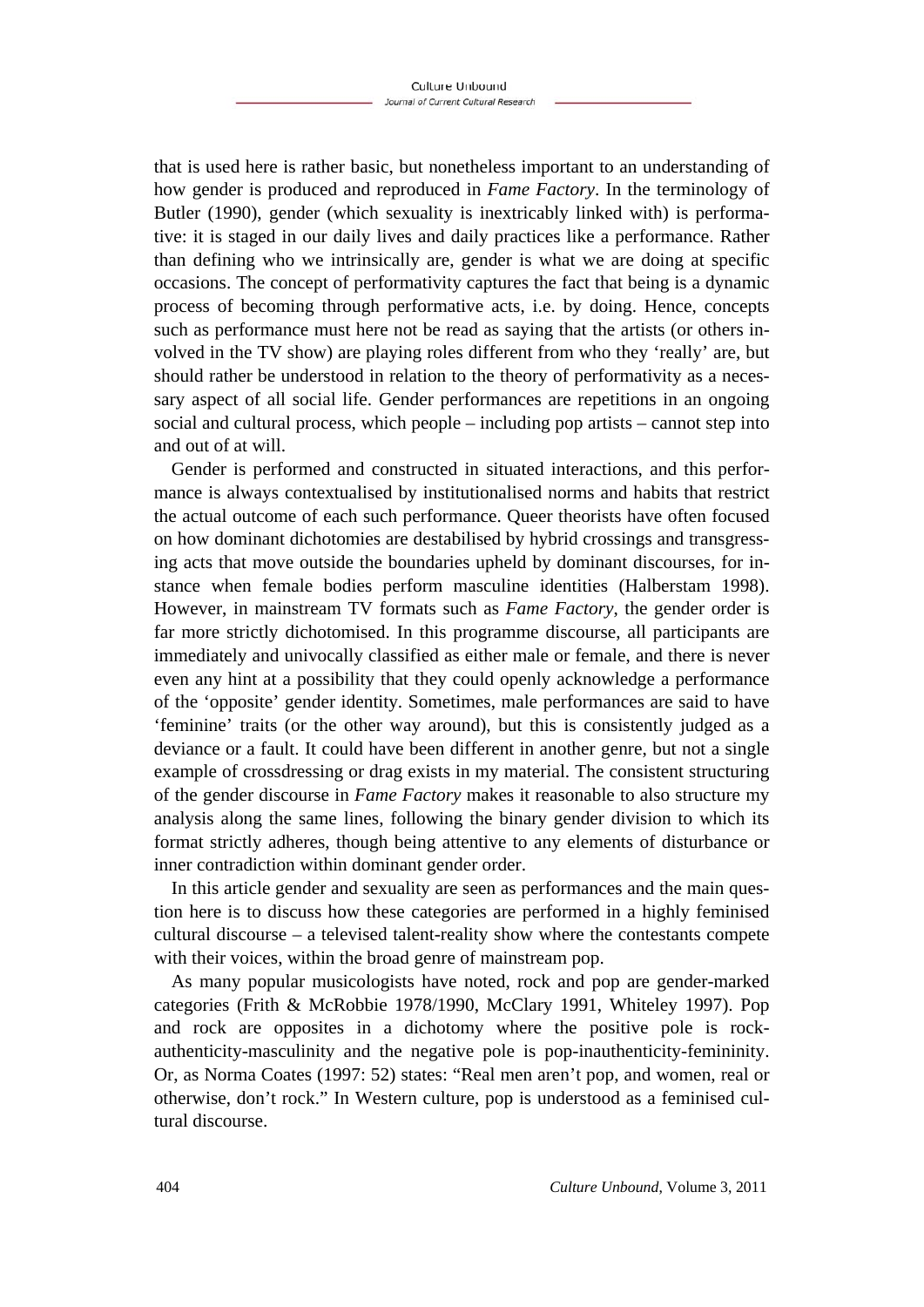that is used here is rather basic, but nonetheless important to an understanding of how gender is produced and reproduced in *Fame Factory*. In the terminology of Butler (1990), gender (which sexuality is inextricably linked with) is performative: it is staged in our daily lives and daily practices like a performance. Rather than defining who we intrinsically are, gender is what we are doing at specific occasions. The concept of performativity captures the fact that being is a dynamic process of becoming through performative acts, i.e. by doing. Hence, concepts such as performance must here not be read as saying that the artists (or others involved in the TV show) are playing roles different from who they 'really' are, but should rather be understood in relation to the theory of performativity as a necessary aspect of all social life. Gender performances are repetitions in an ongoing social and cultural process, which people – including pop artists – cannot step into and out of at will.

Gender is performed and constructed in situated interactions, and this performance is always contextualised by institutionalised norms and habits that restrict the actual outcome of each such performance. Queer theorists have often focused on how dominant dichotomies are destabilised by hybrid crossings and transgressing acts that move outside the boundaries upheld by dominant discourses, for instance when female bodies perform masculine identities (Halberstam 1998). However, in mainstream TV formats such as *Fame Factory*, the gender order is far more strictly dichotomised. In this programme discourse, all participants are immediately and univocally classified as either male or female, and there is never even any hint at a possibility that they could openly acknowledge a performance of the 'opposite' gender identity. Sometimes, male performances are said to have 'feminine' traits (or the other way around), but this is consistently judged as a deviance or a fault. It could have been different in another genre, but not a single example of crossdressing or drag exists in my material. The consistent structuring of the gender discourse in *Fame Factory* makes it reasonable to also structure my analysis along the same lines, following the binary gender division to which its format strictly adheres, though being attentive to any elements of disturbance or inner contradiction within dominant gender order.

In this article gender and sexuality are seen as performances and the main question here is to discuss how these categories are performed in a highly feminised cultural discourse – a televised talent-reality show where the contestants compete with their voices, within the broad genre of mainstream pop.

As many popular musicologists have noted, rock and pop are gender-marked categories (Frith & McRobbie 1978/1990, McClary 1991, Whiteley 1997). Pop and rock are opposites in a dichotomy where the positive pole is rockauthenticity-masculinity and the negative pole is pop-inauthenticity-femininity. Or, as Norma Coates (1997: 52) states: "Real men aren't pop, and women, real or otherwise, don't rock." In Western culture, pop is understood as a feminised cultural discourse.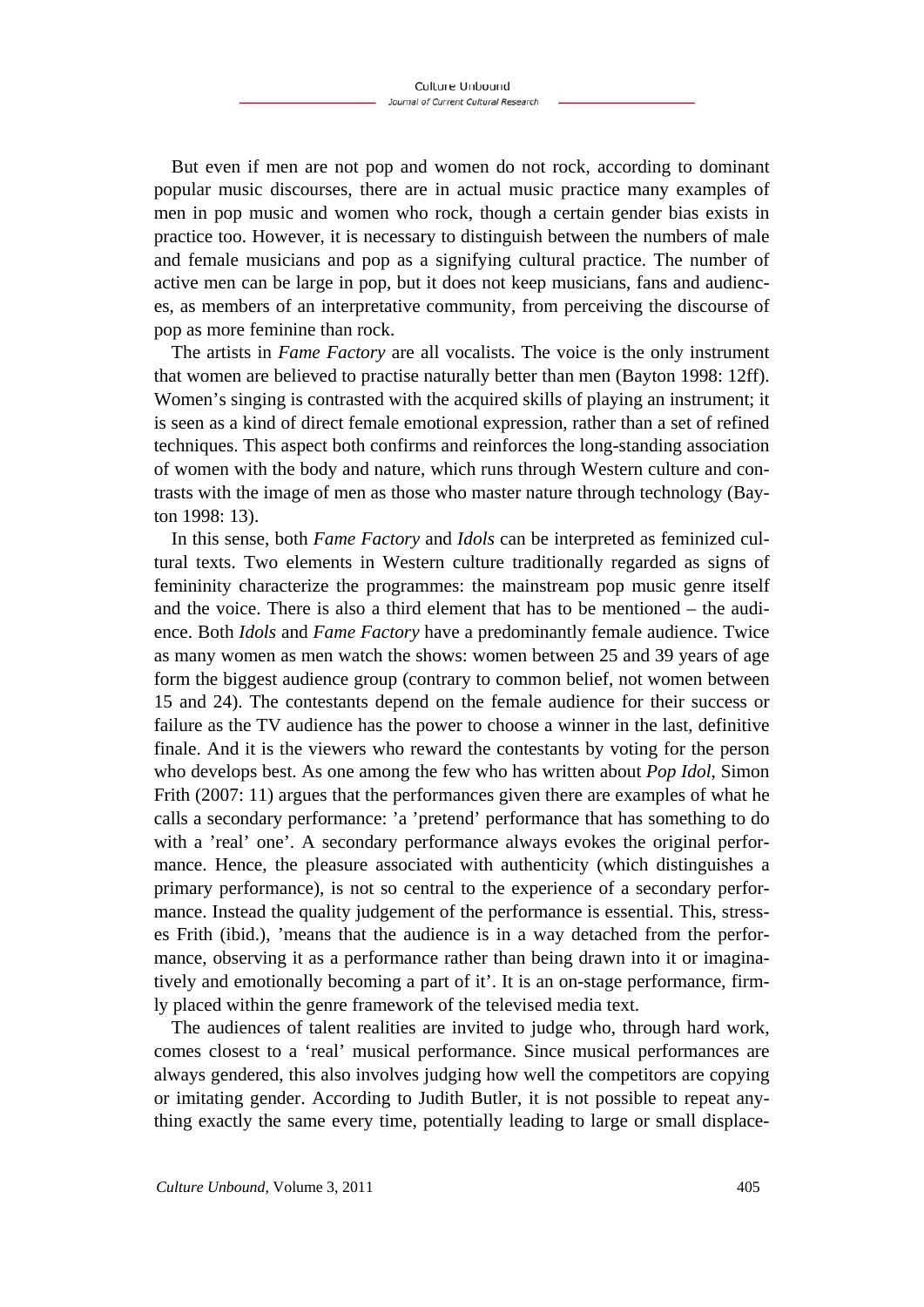But even if men are not pop and women do not rock, according to dominant popular music discourses, there are in actual music practice many examples of men in pop music and women who rock, though a certain gender bias exists in practice too. However, it is necessary to distinguish between the numbers of male and female musicians and pop as a signifying cultural practice. The number of active men can be large in pop, but it does not keep musicians, fans and audiences, as members of an interpretative community, from perceiving the discourse of pop as more feminine than rock.

The artists in *Fame Factory* are all vocalists. The voice is the only instrument that women are believed to practise naturally better than men (Bayton 1998: 12ff). Women's singing is contrasted with the acquired skills of playing an instrument; it is seen as a kind of direct female emotional expression, rather than a set of refined techniques. This aspect both confirms and reinforces the long-standing association of women with the body and nature, which runs through Western culture and contrasts with the image of men as those who master nature through technology (Bayton 1998: 13).

In this sense, both *Fame Factory* and *Idols* can be interpreted as feminized cultural texts. Two elements in Western culture traditionally regarded as signs of femininity characterize the programmes: the mainstream pop music genre itself and the voice. There is also a third element that has to be mentioned – the audience. Both *Idols* and *Fame Factory* have a predominantly female audience. Twice as many women as men watch the shows: women between 25 and 39 years of age form the biggest audience group (contrary to common belief, not women between 15 and 24). The contestants depend on the female audience for their success or failure as the TV audience has the power to choose a winner in the last, definitive finale. And it is the viewers who reward the contestants by voting for the person who develops best. As one among the few who has written about *Pop Idol*, Simon Frith (2007: 11) argues that the performances given there are examples of what he calls a secondary performance: 'a 'pretend' performance that has something to do with a 'real' one'. A secondary performance always evokes the original performance. Hence, the pleasure associated with authenticity (which distinguishes a primary performance), is not so central to the experience of a secondary performance. Instead the quality judgement of the performance is essential. This, stresses Frith (ibid.), 'means that the audience is in a way detached from the performance, observing it as a performance rather than being drawn into it or imaginatively and emotionally becoming a part of it'. It is an on-stage performance, firmly placed within the genre framework of the televised media text.

The audiences of talent realities are invited to judge who, through hard work, comes closest to a 'real' musical performance. Since musical performances are always gendered, this also involves judging how well the competitors are copying or imitating gender. According to Judith Butler, it is not possible to repeat anything exactly the same every time, potentially leading to large or small displace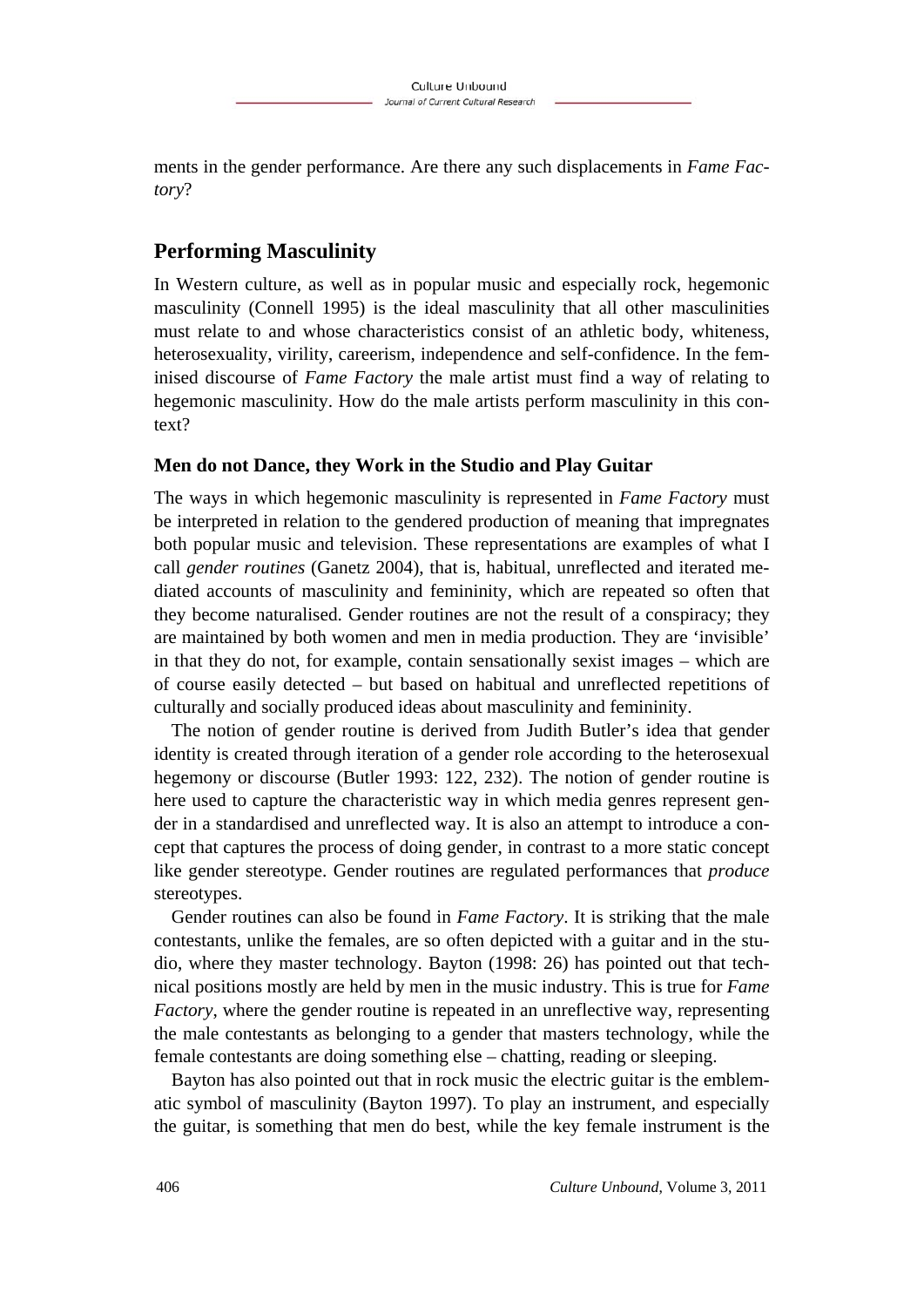ments in the gender performance. Are there any such displacements in *Fame Factory*?

# **Performing Masculinity**

In Western culture, as well as in popular music and especially rock, hegemonic masculinity (Connell 1995) is the ideal masculinity that all other masculinities must relate to and whose characteristics consist of an athletic body, whiteness, heterosexuality, virility, careerism, independence and self-confidence. In the feminised discourse of *Fame Factory* the male artist must find a way of relating to hegemonic masculinity. How do the male artists perform masculinity in this context?

### **Men do not Dance, they Work in the Studio and Play Guitar**

The ways in which hegemonic masculinity is represented in *Fame Factory* must be interpreted in relation to the gendered production of meaning that impregnates both popular music and television. These representations are examples of what I call *gender routines* (Ganetz 2004), that is, habitual, unreflected and iterated mediated accounts of masculinity and femininity, which are repeated so often that they become naturalised. Gender routines are not the result of a conspiracy; they are maintained by both women and men in media production. They are 'invisible' in that they do not, for example, contain sensationally sexist images – which are of course easily detected – but based on habitual and unreflected repetitions of culturally and socially produced ideas about masculinity and femininity.

The notion of gender routine is derived from Judith Butler's idea that gender identity is created through iteration of a gender role according to the heterosexual hegemony or discourse (Butler 1993: 122, 232). The notion of gender routine is here used to capture the characteristic way in which media genres represent gender in a standardised and unreflected way. It is also an attempt to introduce a concept that captures the process of doing gender, in contrast to a more static concept like gender stereotype. Gender routines are regulated performances that *produce* stereotypes.

Gender routines can also be found in *Fame Factory*. It is striking that the male contestants, unlike the females, are so often depicted with a guitar and in the studio, where they master technology. Bayton (1998: 26) has pointed out that technical positions mostly are held by men in the music industry. This is true for *Fame Factory*, where the gender routine is repeated in an unreflective way, representing the male contestants as belonging to a gender that masters technology, while the female contestants are doing something else – chatting, reading or sleeping.

Bayton has also pointed out that in rock music the electric guitar is the emblematic symbol of masculinity (Bayton 1997). To play an instrument, and especially the guitar, is something that men do best, while the key female instrument is the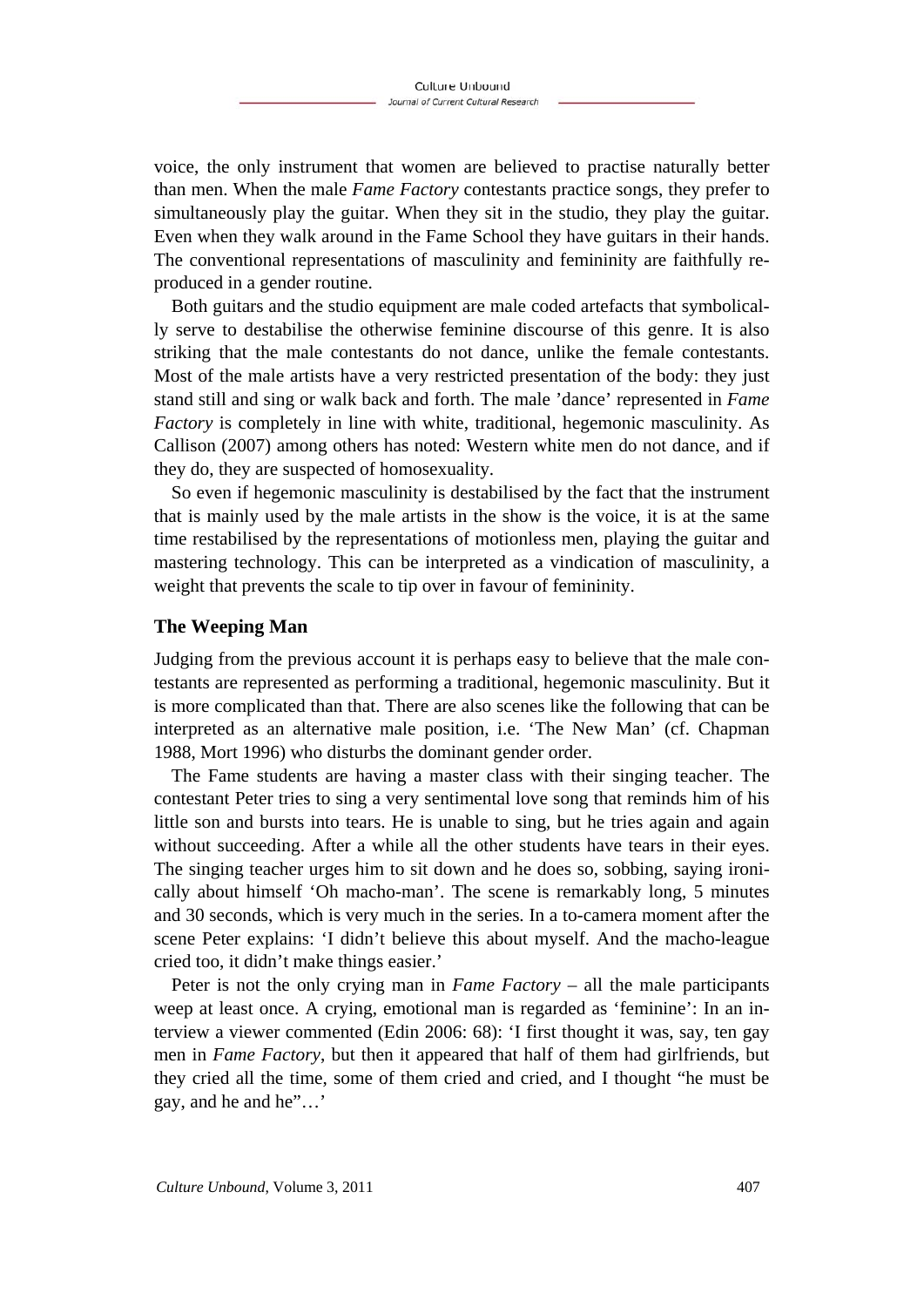voice, the only instrument that women are believed to practise naturally better than men. When the male *Fame Factory* contestants practice songs, they prefer to simultaneously play the guitar. When they sit in the studio, they play the guitar. Even when they walk around in the Fame School they have guitars in their hands. The conventional representations of masculinity and femininity are faithfully reproduced in a gender routine.

Both guitars and the studio equipment are male coded artefacts that symbolically serve to destabilise the otherwise feminine discourse of this genre. It is also striking that the male contestants do not dance, unlike the female contestants. Most of the male artists have a very restricted presentation of the body: they just stand still and sing or walk back and forth. The male 'dance' represented in *Fame Factory* is completely in line with white, traditional, hegemonic masculinity. As Callison (2007) among others has noted: Western white men do not dance, and if they do, they are suspected of homosexuality.

So even if hegemonic masculinity is destabilised by the fact that the instrument that is mainly used by the male artists in the show is the voice, it is at the same time restabilised by the representations of motionless men, playing the guitar and mastering technology. This can be interpreted as a vindication of masculinity, a weight that prevents the scale to tip over in favour of femininity.

#### **The Weeping Man**

Judging from the previous account it is perhaps easy to believe that the male contestants are represented as performing a traditional, hegemonic masculinity. But it is more complicated than that. There are also scenes like the following that can be interpreted as an alternative male position, i.e. 'The New Man' (cf. Chapman 1988, Mort 1996) who disturbs the dominant gender order.

The Fame students are having a master class with their singing teacher. The contestant Peter tries to sing a very sentimental love song that reminds him of his little son and bursts into tears. He is unable to sing, but he tries again and again without succeeding. After a while all the other students have tears in their eyes. The singing teacher urges him to sit down and he does so, sobbing, saying ironically about himself 'Oh macho-man'. The scene is remarkably long, 5 minutes and 30 seconds, which is very much in the series. In a to-camera moment after the scene Peter explains: 'I didn't believe this about myself. And the macho-league cried too, it didn't make things easier.'

Peter is not the only crying man in *Fame Factory* – all the male participants weep at least once. A crying, emotional man is regarded as 'feminine': In an interview a viewer commented (Edin 2006: 68): 'I first thought it was, say, ten gay men in *Fame Factory*, but then it appeared that half of them had girlfriends, but they cried all the time, some of them cried and cried, and I thought "he must be gay, and he and he"..."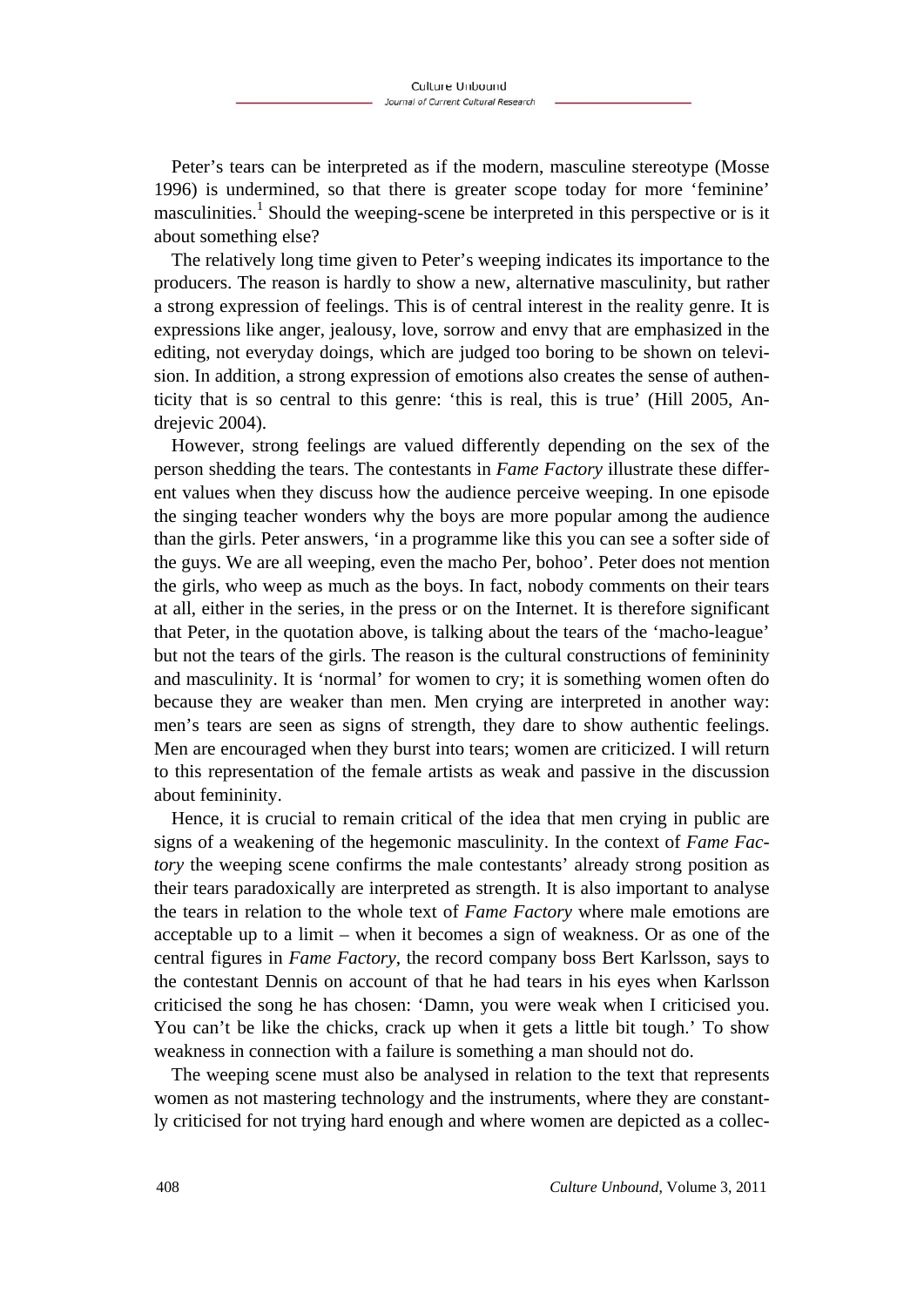Peter's tears can be interpreted as if the modern, masculine stereotype (Mosse 1996) is undermined, so that there is greater scope today for more 'feminine' masculinities.<sup>1</sup> Should the weeping-scene be interpreted in this perspective or is it about something else?

The relatively long time given to Peter's weeping indicates its importance to the producers. The reason is hardly to show a new, alternative masculinity, but rather a strong expression of feelings. This is of central interest in the reality genre. It is expressions like anger, jealousy, love, sorrow and envy that are emphasized in the editing, not everyday doings, which are judged too boring to be shown on television. In addition, a strong expression of emotions also creates the sense of authenticity that is so central to this genre: 'this is real, this is true' (Hill 2005, Andrejevic 2004).

However, strong feelings are valued differently depending on the sex of the person shedding the tears. The contestants in *Fame Factory* illustrate these different values when they discuss how the audience perceive weeping. In one episode the singing teacher wonders why the boys are more popular among the audience than the girls. Peter answers, 'in a programme like this you can see a softer side of the guys. We are all weeping, even the macho Per, bohoo'. Peter does not mention the girls, who weep as much as the boys. In fact, nobody comments on their tears at all, either in the series, in the press or on the Internet. It is therefore significant that Peter, in the quotation above, is talking about the tears of the 'macho-league' but not the tears of the girls. The reason is the cultural constructions of femininity and masculinity. It is 'normal' for women to cry; it is something women often do because they are weaker than men. Men crying are interpreted in another way: men's tears are seen as signs of strength, they dare to show authentic feelings. Men are encouraged when they burst into tears; women are criticized. I will return to this representation of the female artists as weak and passive in the discussion about femininity.

Hence, it is crucial to remain critical of the idea that men crying in public are signs of a weakening of the hegemonic masculinity. In the context of *Fame Factory* the weeping scene confirms the male contestants' already strong position as their tears paradoxically are interpreted as strength. It is also important to analyse the tears in relation to the whole text of *Fame Factory* where male emotions are acceptable up to a limit – when it becomes a sign of weakness. Or as one of the central figures in *Fame Factory*, the record company boss Bert Karlsson, says to the contestant Dennis on account of that he had tears in his eyes when Karlsson criticised the song he has chosen: 'Damn, you were weak when I criticised you. You can't be like the chicks, crack up when it gets a little bit tough.' To show weakness in connection with a failure is something a man should not do.

The weeping scene must also be analysed in relation to the text that represents women as not mastering technology and the instruments, where they are constantly criticised for not trying hard enough and where women are depicted as a collec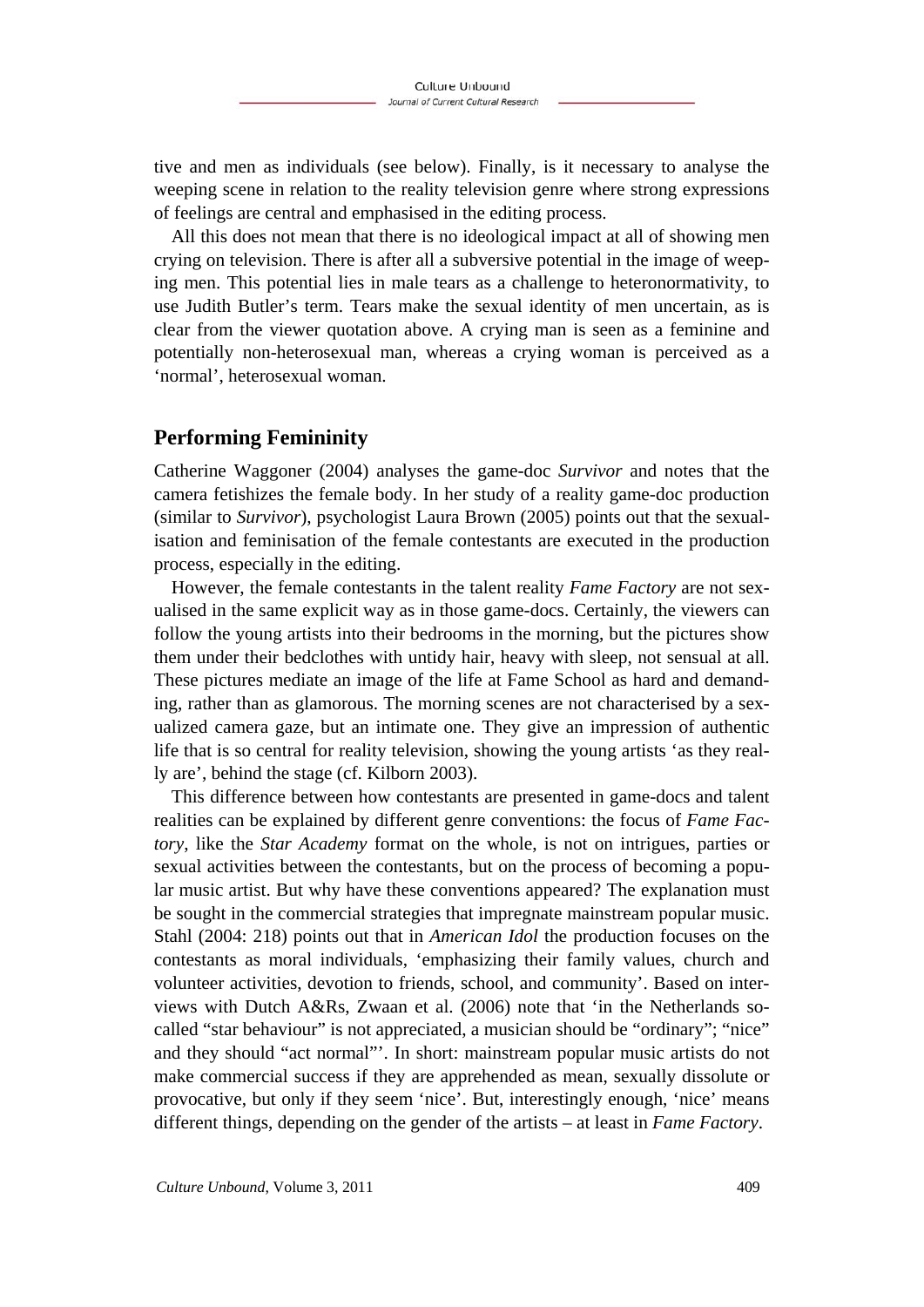tive and men as individuals (see below). Finally, is it necessary to analyse the weeping scene in relation to the reality television genre where strong expressions of feelings are central and emphasised in the editing process.

All this does not mean that there is no ideological impact at all of showing men crying on television. There is after all a subversive potential in the image of weeping men. This potential lies in male tears as a challenge to heteronormativity, to use Judith Butler's term. Tears make the sexual identity of men uncertain, as is clear from the viewer quotation above. A crying man is seen as a feminine and potentially non-heterosexual man, whereas a crying woman is perceived as a 'normal', heterosexual woman.

### **Performing Femininity**

Catherine Waggoner (2004) analyses the game-doc *Survivor* and notes that the camera fetishizes the female body. In her study of a reality game-doc production (similar to *Survivor*), psychologist Laura Brown (2005) points out that the sexualisation and feminisation of the female contestants are executed in the production process, especially in the editing.

However, the female contestants in the talent reality *Fame Factory* are not sexualised in the same explicit way as in those game-docs. Certainly, the viewers can follow the young artists into their bedrooms in the morning, but the pictures show them under their bedclothes with untidy hair, heavy with sleep, not sensual at all. These pictures mediate an image of the life at Fame School as hard and demanding, rather than as glamorous. The morning scenes are not characterised by a sexualized camera gaze, but an intimate one. They give an impression of authentic life that is so central for reality television, showing the young artists 'as they really are', behind the stage (cf. Kilborn 2003).

This difference between how contestants are presented in game-docs and talent realities can be explained by different genre conventions: the focus of *Fame Factory*, like the *Star Academy* format on the whole, is not on intrigues, parties or sexual activities between the contestants, but on the process of becoming a popular music artist. But why have these conventions appeared? The explanation must be sought in the commercial strategies that impregnate mainstream popular music. Stahl (2004: 218) points out that in *American Idol* the production focuses on the contestants as moral individuals, 'emphasizing their family values, church and volunteer activities, devotion to friends, school, and community'. Based on interviews with Dutch A&Rs, Zwaan et al. (2006) note that 'in the Netherlands socalled "star behaviour" is not appreciated, a musician should be "ordinary"; "nice" and they should "act normal"'. In short: mainstream popular music artists do not make commercial success if they are apprehended as mean, sexually dissolute or provocative, but only if they seem 'nice'. But, interestingly enough, 'nice' means different things, depending on the gender of the artists – at least in *Fame Factory*.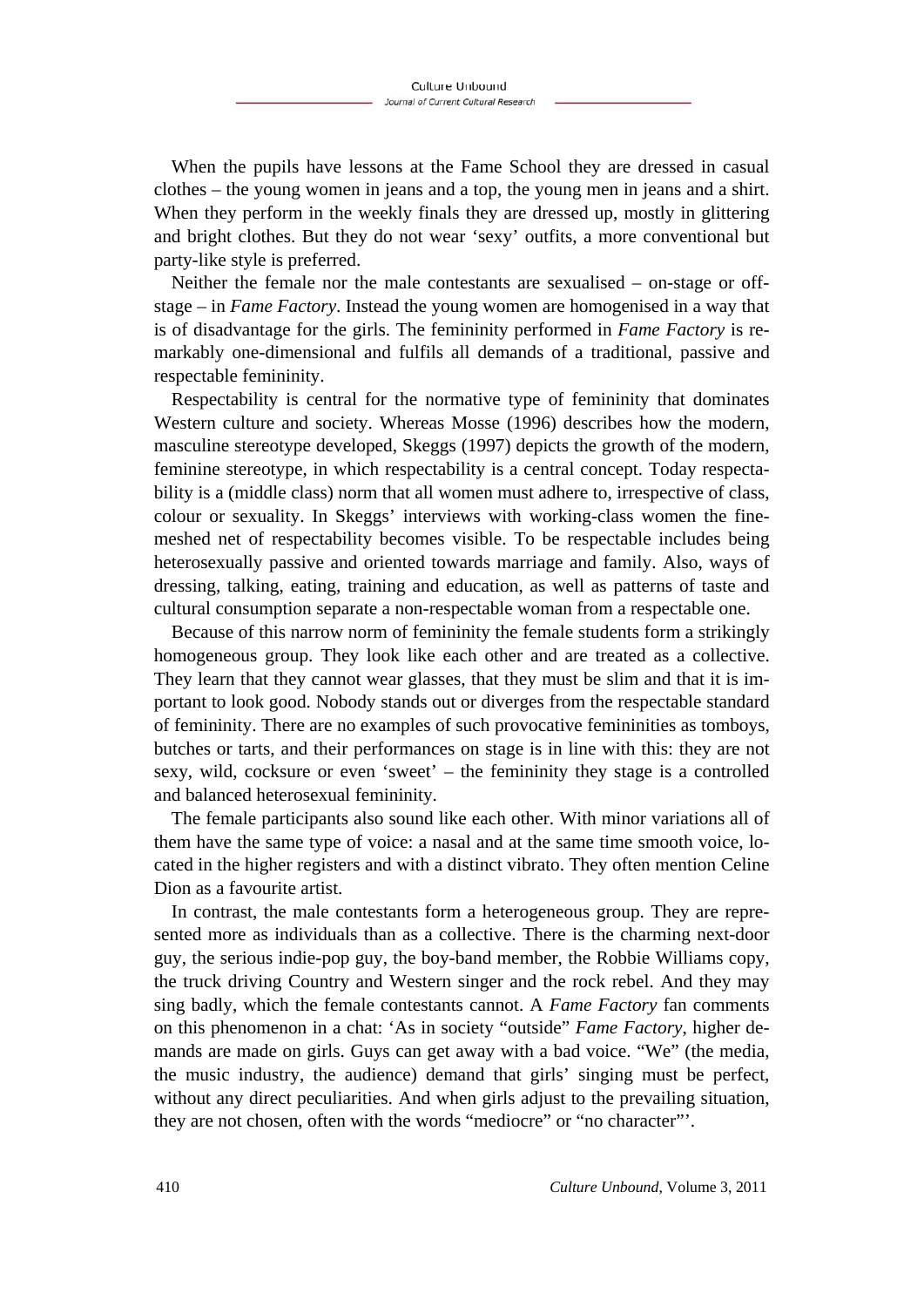When the pupils have lessons at the Fame School they are dressed in casual clothes – the young women in jeans and a top, the young men in jeans and a shirt. When they perform in the weekly finals they are dressed up, mostly in glittering and bright clothes. But they do not wear 'sexy' outfits, a more conventional but party-like style is preferred.

Neither the female nor the male contestants are sexualised – on-stage or offstage – in *Fame Factory*. Instead the young women are homogenised in a way that is of disadvantage for the girls. The femininity performed in *Fame Factory* is remarkably one-dimensional and fulfils all demands of a traditional, passive and respectable femininity.

Respectability is central for the normative type of femininity that dominates Western culture and society. Whereas Mosse (1996) describes how the modern, masculine stereotype developed, Skeggs (1997) depicts the growth of the modern, feminine stereotype, in which respectability is a central concept. Today respectability is a (middle class) norm that all women must adhere to, irrespective of class, colour or sexuality. In Skeggs' interviews with working-class women the finemeshed net of respectability becomes visible. To be respectable includes being heterosexually passive and oriented towards marriage and family. Also, ways of dressing, talking, eating, training and education, as well as patterns of taste and cultural consumption separate a non-respectable woman from a respectable one.

Because of this narrow norm of femininity the female students form a strikingly homogeneous group. They look like each other and are treated as a collective. They learn that they cannot wear glasses, that they must be slim and that it is important to look good. Nobody stands out or diverges from the respectable standard of femininity. There are no examples of such provocative femininities as tomboys, butches or tarts, and their performances on stage is in line with this: they are not sexy, wild, cocksure or even 'sweet' – the femininity they stage is a controlled and balanced heterosexual femininity.

The female participants also sound like each other. With minor variations all of them have the same type of voice: a nasal and at the same time smooth voice, located in the higher registers and with a distinct vibrato. They often mention Celine Dion as a favourite artist.

In contrast, the male contestants form a heterogeneous group. They are represented more as individuals than as a collective. There is the charming next-door guy, the serious indie-pop guy, the boy-band member, the Robbie Williams copy, the truck driving Country and Western singer and the rock rebel. And they may sing badly, which the female contestants cannot. A *Fame Factory* fan comments on this phenomenon in a chat: 'As in society "outside" *Fame Factory*, higher demands are made on girls. Guys can get away with a bad voice. "We" (the media, the music industry, the audience) demand that girls' singing must be perfect, without any direct peculiarities. And when girls adjust to the prevailing situation, they are not chosen, often with the words "mediocre" or "no character"'.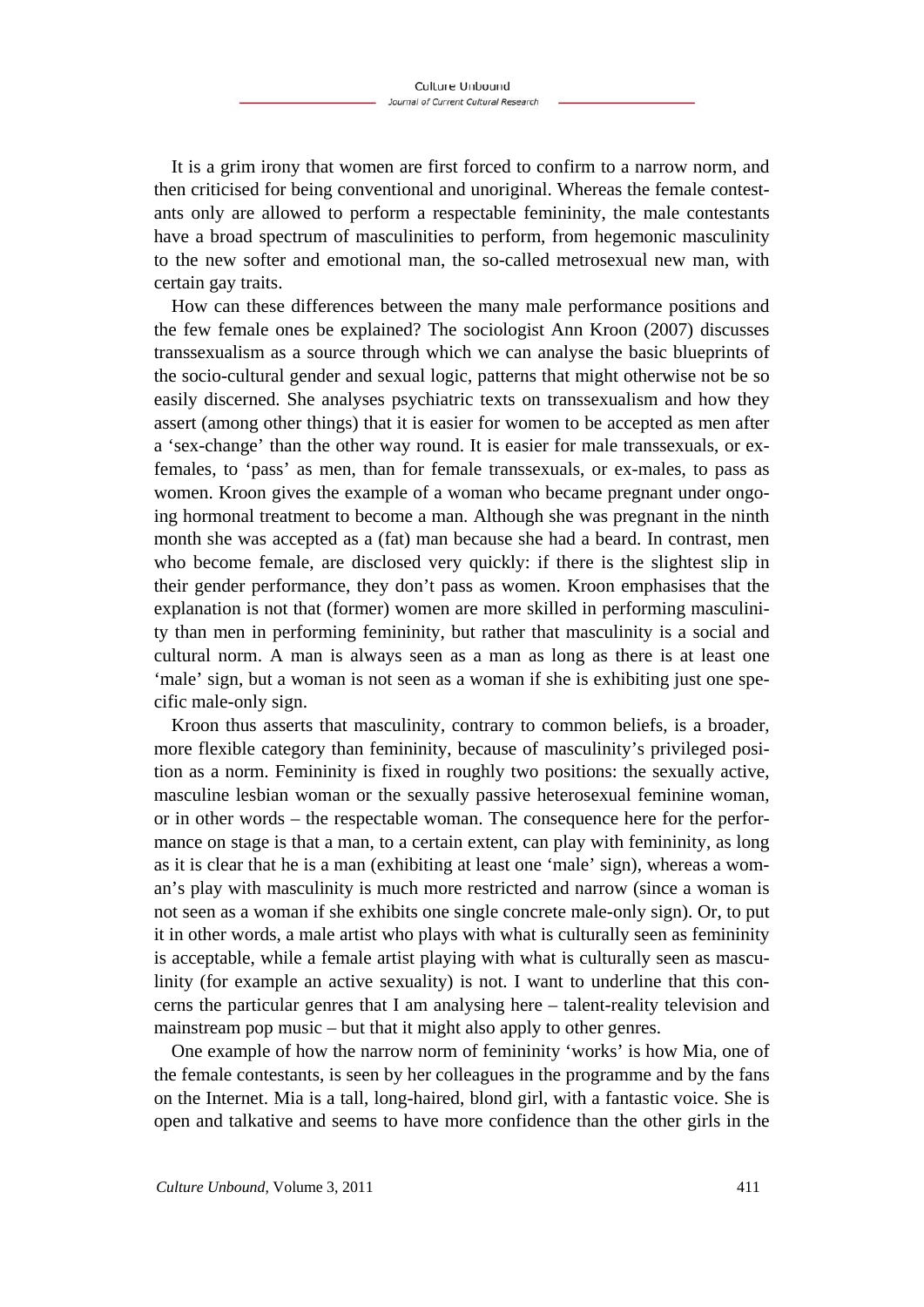It is a grim irony that women are first forced to confirm to a narrow norm, and then criticised for being conventional and unoriginal. Whereas the female contestants only are allowed to perform a respectable femininity, the male contestants have a broad spectrum of masculinities to perform, from hegemonic masculinity to the new softer and emotional man, the so-called metrosexual new man, with certain gay traits.

How can these differences between the many male performance positions and the few female ones be explained? The sociologist Ann Kroon (2007) discusses transsexualism as a source through which we can analyse the basic blueprints of the socio-cultural gender and sexual logic, patterns that might otherwise not be so easily discerned. She analyses psychiatric texts on transsexualism and how they assert (among other things) that it is easier for women to be accepted as men after a 'sex-change' than the other way round. It is easier for male transsexuals, or exfemales, to 'pass' as men, than for female transsexuals, or ex-males, to pass as women. Kroon gives the example of a woman who became pregnant under ongoing hormonal treatment to become a man. Although she was pregnant in the ninth month she was accepted as a (fat) man because she had a beard. In contrast, men who become female, are disclosed very quickly: if there is the slightest slip in their gender performance, they don't pass as women. Kroon emphasises that the explanation is not that (former) women are more skilled in performing masculinity than men in performing femininity, but rather that masculinity is a social and cultural norm. A man is always seen as a man as long as there is at least one 'male' sign, but a woman is not seen as a woman if she is exhibiting just one specific male-only sign.

Kroon thus asserts that masculinity, contrary to common beliefs, is a broader, more flexible category than femininity, because of masculinity's privileged position as a norm. Femininity is fixed in roughly two positions: the sexually active, masculine lesbian woman or the sexually passive heterosexual feminine woman, or in other words – the respectable woman. The consequence here for the performance on stage is that a man, to a certain extent, can play with femininity, as long as it is clear that he is a man (exhibiting at least one 'male' sign), whereas a woman's play with masculinity is much more restricted and narrow (since a woman is not seen as a woman if she exhibits one single concrete male-only sign). Or, to put it in other words, a male artist who plays with what is culturally seen as femininity is acceptable, while a female artist playing with what is culturally seen as masculinity (for example an active sexuality) is not. I want to underline that this concerns the particular genres that I am analysing here – talent-reality television and mainstream pop music – but that it might also apply to other genres.

One example of how the narrow norm of femininity 'works' is how Mia, one of the female contestants, is seen by her colleagues in the programme and by the fans on the Internet. Mia is a tall, long-haired, blond girl, with a fantastic voice. She is open and talkative and seems to have more confidence than the other girls in the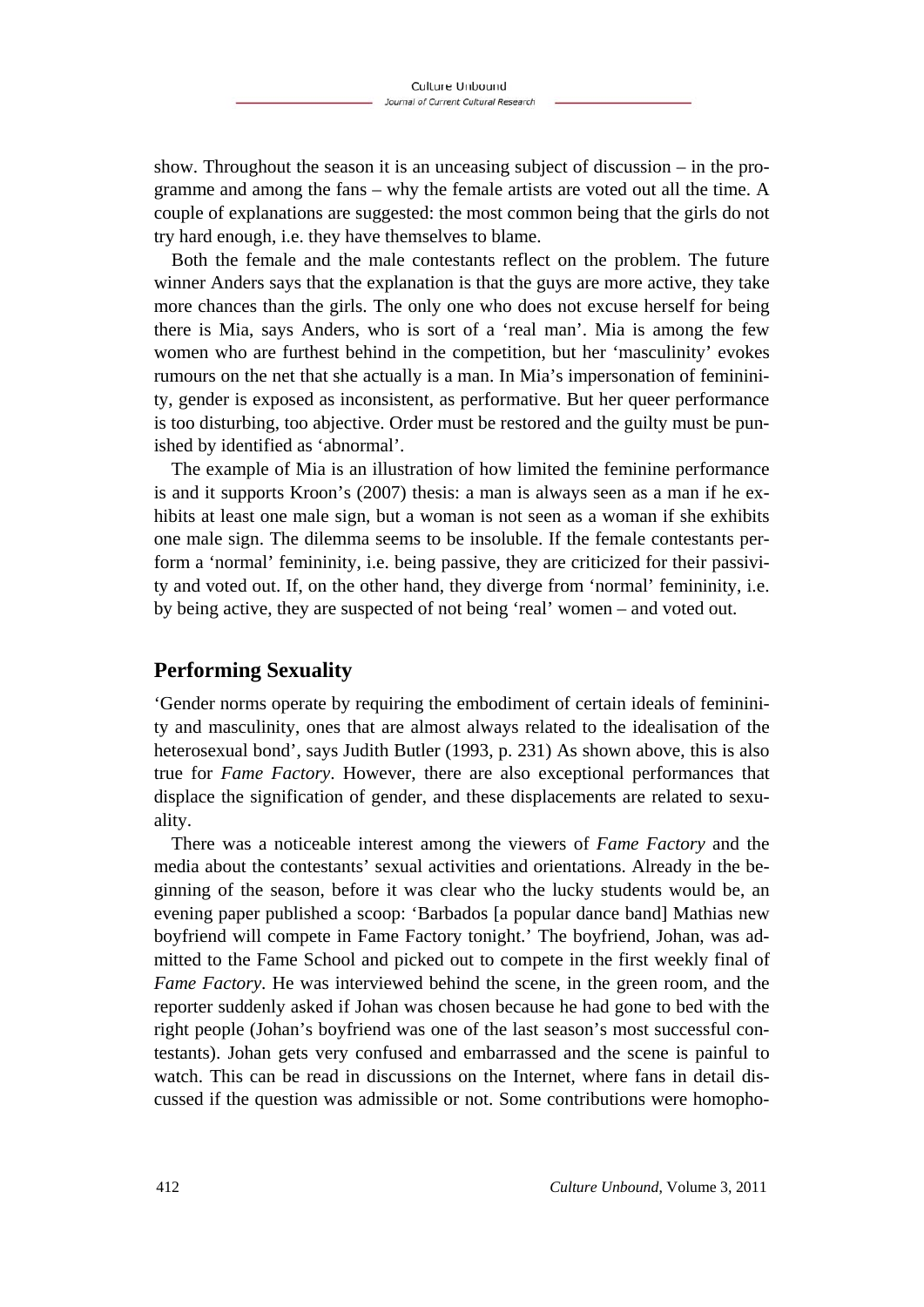show. Throughout the season it is an unceasing subject of discussion – in the programme and among the fans – why the female artists are voted out all the time. A couple of explanations are suggested: the most common being that the girls do not try hard enough, i.e. they have themselves to blame.

Both the female and the male contestants reflect on the problem. The future winner Anders says that the explanation is that the guys are more active, they take more chances than the girls. The only one who does not excuse herself for being there is Mia, says Anders, who is sort of a 'real man'. Mia is among the few women who are furthest behind in the competition, but her 'masculinity' evokes rumours on the net that she actually is a man. In Mia's impersonation of femininity, gender is exposed as inconsistent, as performative. But her queer performance is too disturbing, too abjective. Order must be restored and the guilty must be punished by identified as 'abnormal'.

The example of Mia is an illustration of how limited the feminine performance is and it supports Kroon's (2007) thesis: a man is always seen as a man if he exhibits at least one male sign, but a woman is not seen as a woman if she exhibits one male sign. The dilemma seems to be insoluble. If the female contestants perform a 'normal' femininity, i.e. being passive, they are criticized for their passivity and voted out. If, on the other hand, they diverge from 'normal' femininity, i.e. by being active, they are suspected of not being 'real' women – and voted out.

### **Performing Sexuality**

'Gender norms operate by requiring the embodiment of certain ideals of femininity and masculinity, ones that are almost always related to the idealisation of the heterosexual bond', says Judith Butler (1993, p. 231) As shown above, this is also true for *Fame Factory*. However, there are also exceptional performances that displace the signification of gender, and these displacements are related to sexuality.

There was a noticeable interest among the viewers of *Fame Factory* and the media about the contestants' sexual activities and orientations. Already in the beginning of the season, before it was clear who the lucky students would be, an evening paper published a scoop: 'Barbados [a popular dance band] Mathias new boyfriend will compete in Fame Factory tonight.' The boyfriend, Johan, was admitted to the Fame School and picked out to compete in the first weekly final of *Fame Factory*. He was interviewed behind the scene, in the green room, and the reporter suddenly asked if Johan was chosen because he had gone to bed with the right people (Johan's boyfriend was one of the last season's most successful contestants). Johan gets very confused and embarrassed and the scene is painful to watch. This can be read in discussions on the Internet, where fans in detail discussed if the question was admissible or not. Some contributions were homopho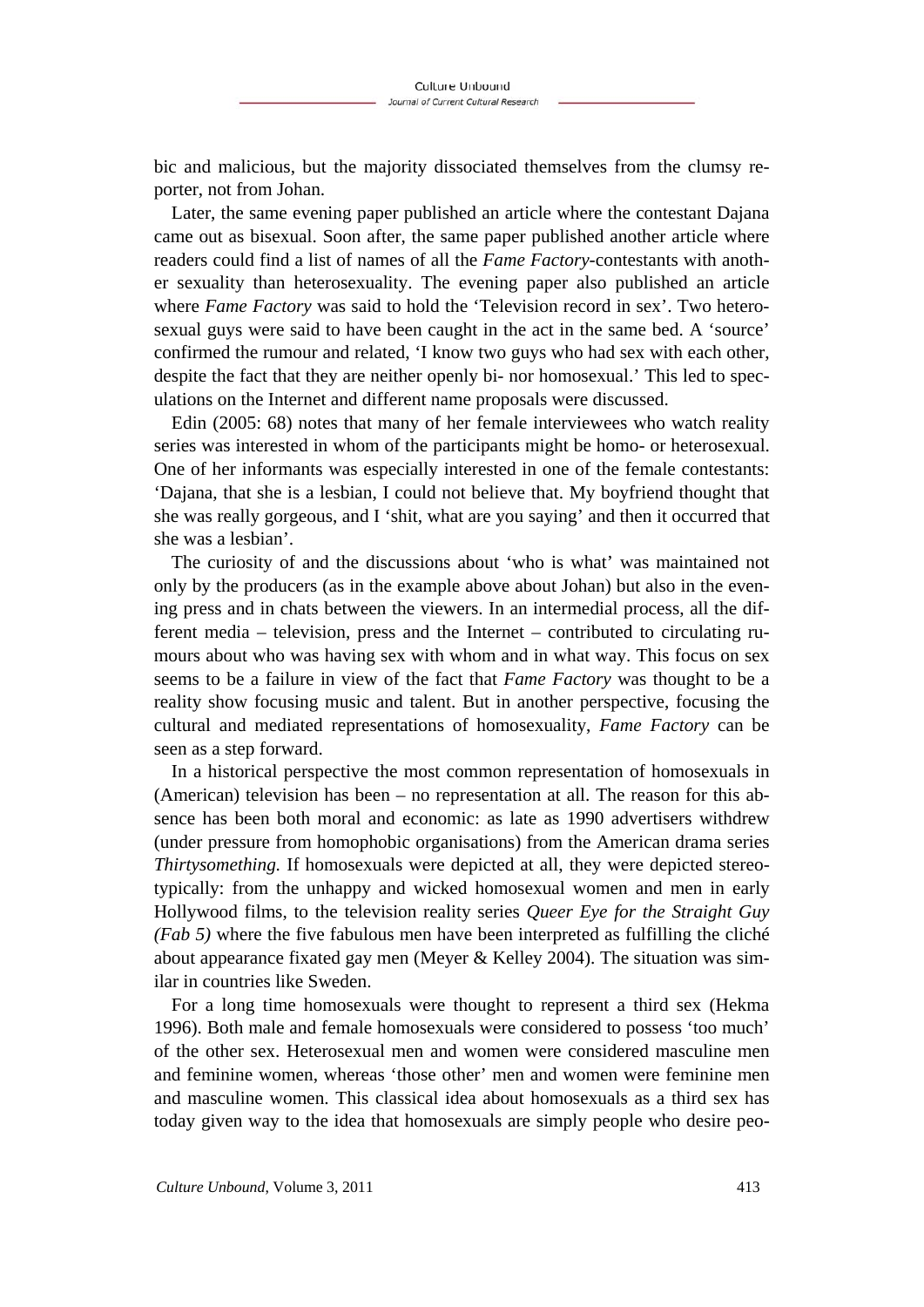bic and malicious, but the majority dissociated themselves from the clumsy reporter, not from Johan.

Later, the same evening paper published an article where the contestant Dajana came out as bisexual. Soon after, the same paper published another article where readers could find a list of names of all the *Fame Factory*-contestants with another sexuality than heterosexuality. The evening paper also published an article where *Fame Factory* was said to hold the 'Television record in sex'. Two heterosexual guys were said to have been caught in the act in the same bed. A 'source' confirmed the rumour and related, 'I know two guys who had sex with each other, despite the fact that they are neither openly bi- nor homosexual.' This led to speculations on the Internet and different name proposals were discussed.

Edin (2005: 68) notes that many of her female interviewees who watch reality series was interested in whom of the participants might be homo- or heterosexual. One of her informants was especially interested in one of the female contestants: 'Dajana, that she is a lesbian, I could not believe that. My boyfriend thought that she was really gorgeous, and I 'shit, what are you saying' and then it occurred that she was a lesbian'.

The curiosity of and the discussions about 'who is what' was maintained not only by the producers (as in the example above about Johan) but also in the evening press and in chats between the viewers. In an intermedial process, all the different media – television, press and the Internet – contributed to circulating rumours about who was having sex with whom and in what way. This focus on sex seems to be a failure in view of the fact that *Fame Factory* was thought to be a reality show focusing music and talent. But in another perspective, focusing the cultural and mediated representations of homosexuality, *Fame Factory* can be seen as a step forward.

In a historical perspective the most common representation of homosexuals in (American) television has been – no representation at all. The reason for this absence has been both moral and economic: as late as 1990 advertisers withdrew (under pressure from homophobic organisations) from the American drama series *Thirtysomething.* If homosexuals were depicted at all, they were depicted stereotypically: from the unhappy and wicked homosexual women and men in early Hollywood films, to the television reality series *Queer Eye for the Straight Guy (Fab 5)* where the five fabulous men have been interpreted as fulfilling the cliché about appearance fixated gay men (Meyer & Kelley 2004). The situation was similar in countries like Sweden.

For a long time homosexuals were thought to represent a third sex (Hekma 1996). Both male and female homosexuals were considered to possess 'too much' of the other sex. Heterosexual men and women were considered masculine men and feminine women, whereas 'those other' men and women were feminine men and masculine women. This classical idea about homosexuals as a third sex has today given way to the idea that homosexuals are simply people who desire peo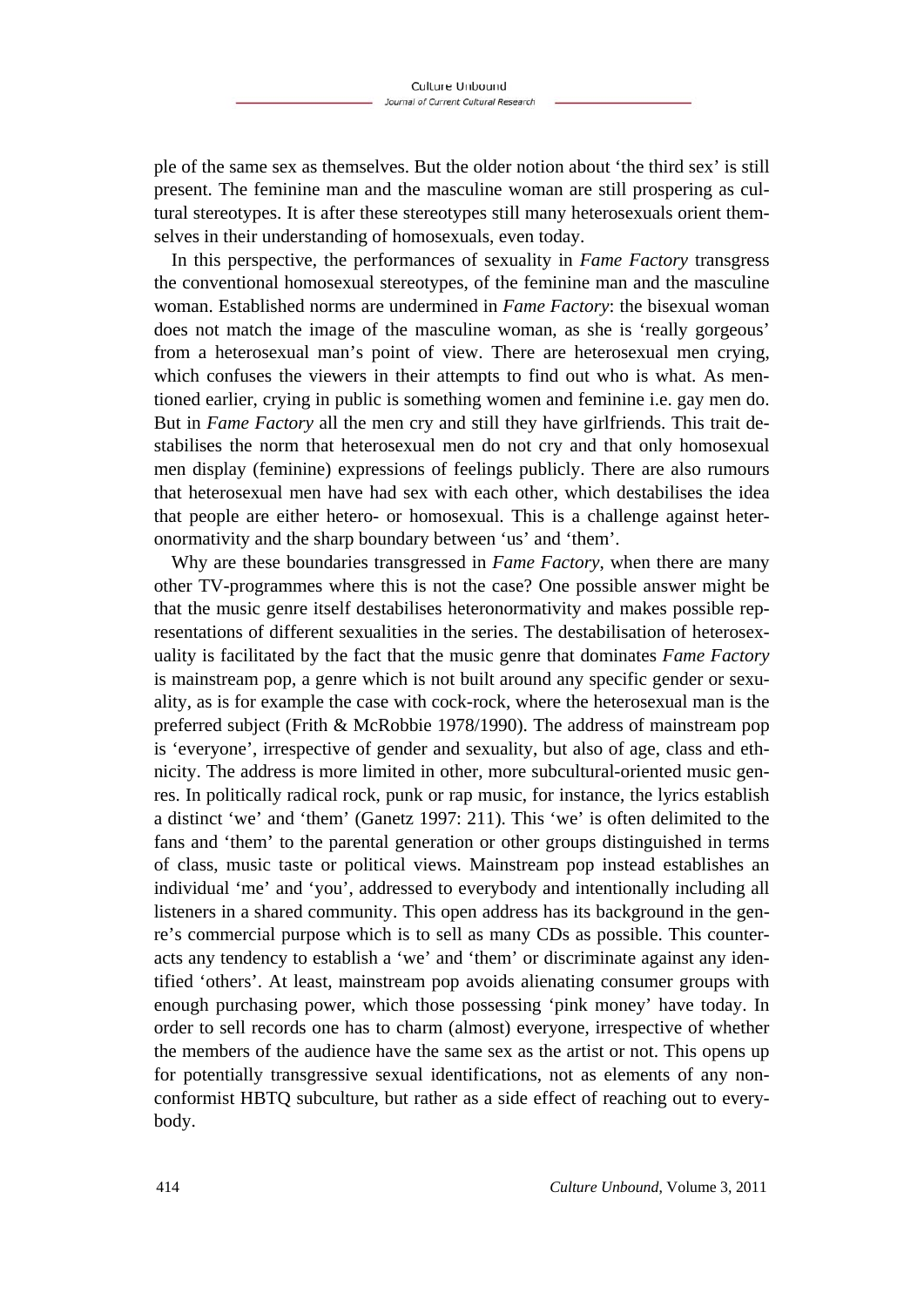ple of the same sex as themselves. But the older notion about 'the third sex' is still present. The feminine man and the masculine woman are still prospering as cultural stereotypes. It is after these stereotypes still many heterosexuals orient themselves in their understanding of homosexuals, even today.

In this perspective, the performances of sexuality in *Fame Factory* transgress the conventional homosexual stereotypes, of the feminine man and the masculine woman. Established norms are undermined in *Fame Factory*: the bisexual woman does not match the image of the masculine woman, as she is 'really gorgeous' from a heterosexual man's point of view. There are heterosexual men crying, which confuses the viewers in their attempts to find out who is what. As mentioned earlier, crying in public is something women and feminine i.e. gay men do. But in *Fame Factory* all the men cry and still they have girlfriends. This trait destabilises the norm that heterosexual men do not cry and that only homosexual men display (feminine) expressions of feelings publicly. There are also rumours that heterosexual men have had sex with each other, which destabilises the idea that people are either hetero- or homosexual. This is a challenge against heteronormativity and the sharp boundary between 'us' and 'them'.

Why are these boundaries transgressed in *Fame Factory*, when there are many other TV-programmes where this is not the case? One possible answer might be that the music genre itself destabilises heteronormativity and makes possible representations of different sexualities in the series. The destabilisation of heterosexuality is facilitated by the fact that the music genre that dominates *Fame Factory*  is mainstream pop, a genre which is not built around any specific gender or sexuality, as is for example the case with cock-rock, where the heterosexual man is the preferred subject (Frith & McRobbie 1978/1990). The address of mainstream pop is 'everyone', irrespective of gender and sexuality, but also of age, class and ethnicity. The address is more limited in other, more subcultural-oriented music genres. In politically radical rock, punk or rap music, for instance, the lyrics establish a distinct 'we' and 'them' (Ganetz 1997: 211). This 'we' is often delimited to the fans and 'them' to the parental generation or other groups distinguished in terms of class, music taste or political views. Mainstream pop instead establishes an individual 'me' and 'you', addressed to everybody and intentionally including all listeners in a shared community. This open address has its background in the genre's commercial purpose which is to sell as many CDs as possible. This counteracts any tendency to establish a 'we' and 'them' or discriminate against any identified 'others'. At least, mainstream pop avoids alienating consumer groups with enough purchasing power, which those possessing 'pink money' have today. In order to sell records one has to charm (almost) everyone, irrespective of whether the members of the audience have the same sex as the artist or not. This opens up for potentially transgressive sexual identifications, not as elements of any nonconformist HBTQ subculture, but rather as a side effect of reaching out to everybody.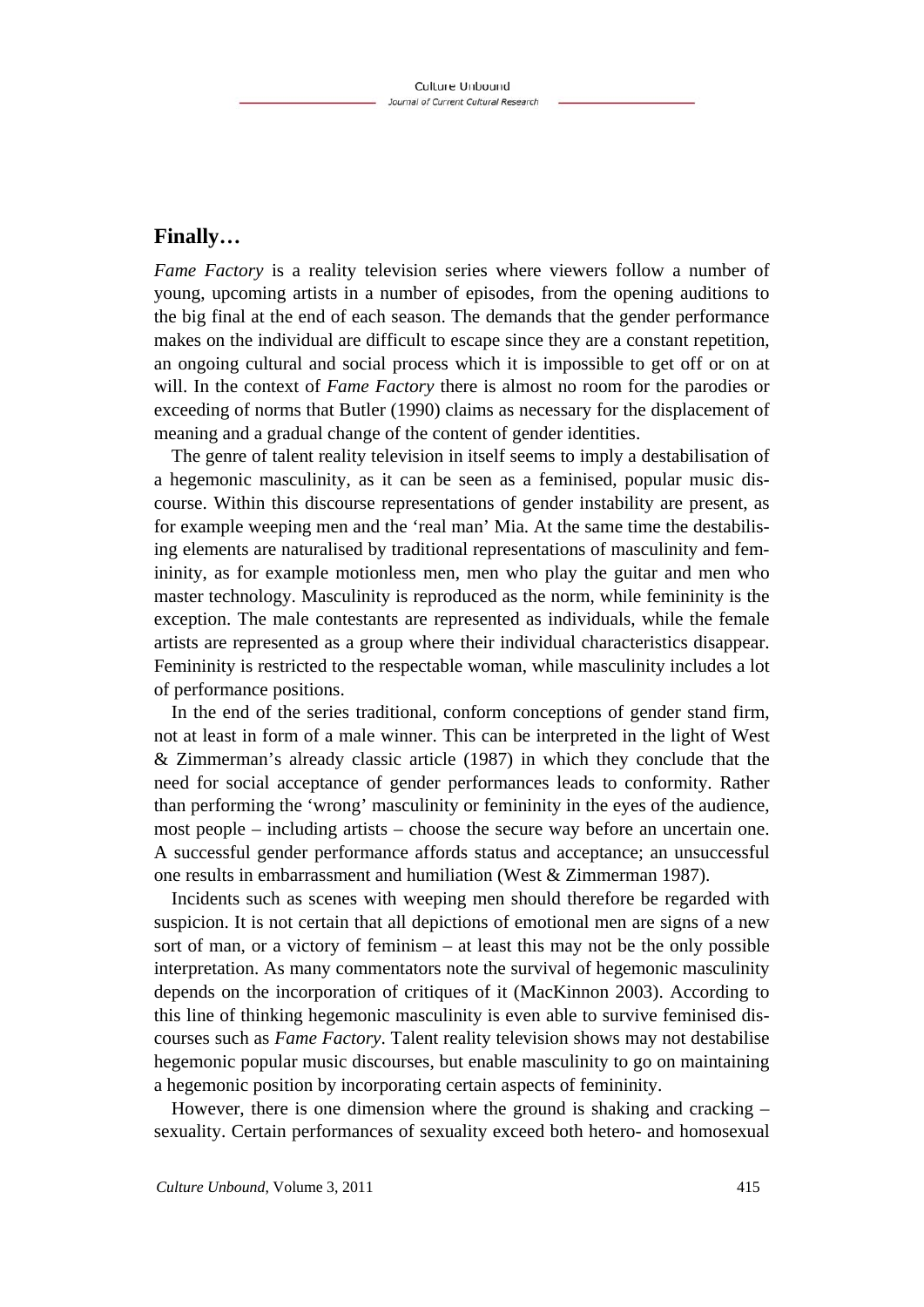### **Finally…**

*Fame Factory* is a reality television series where viewers follow a number of young, upcoming artists in a number of episodes, from the opening auditions to the big final at the end of each season. The demands that the gender performance makes on the individual are difficult to escape since they are a constant repetition, an ongoing cultural and social process which it is impossible to get off or on at will. In the context of *Fame Factory* there is almost no room for the parodies or exceeding of norms that Butler (1990) claims as necessary for the displacement of meaning and a gradual change of the content of gender identities.

The genre of talent reality television in itself seems to imply a destabilisation of a hegemonic masculinity, as it can be seen as a feminised, popular music discourse. Within this discourse representations of gender instability are present, as for example weeping men and the 'real man' Mia. At the same time the destabilising elements are naturalised by traditional representations of masculinity and femininity, as for example motionless men, men who play the guitar and men who master technology. Masculinity is reproduced as the norm, while femininity is the exception. The male contestants are represented as individuals, while the female artists are represented as a group where their individual characteristics disappear. Femininity is restricted to the respectable woman, while masculinity includes a lot of performance positions.

In the end of the series traditional, conform conceptions of gender stand firm, not at least in form of a male winner. This can be interpreted in the light of West & Zimmerman's already classic article (1987) in which they conclude that the need for social acceptance of gender performances leads to conformity. Rather than performing the 'wrong' masculinity or femininity in the eyes of the audience, most people – including artists – choose the secure way before an uncertain one. A successful gender performance affords status and acceptance; an unsuccessful one results in embarrassment and humiliation (West & Zimmerman 1987).

Incidents such as scenes with weeping men should therefore be regarded with suspicion. It is not certain that all depictions of emotional men are signs of a new sort of man, or a victory of feminism – at least this may not be the only possible interpretation. As many commentators note the survival of hegemonic masculinity depends on the incorporation of critiques of it (MacKinnon 2003). According to this line of thinking hegemonic masculinity is even able to survive feminised discourses such as *Fame Factory*. Talent reality television shows may not destabilise hegemonic popular music discourses, but enable masculinity to go on maintaining a hegemonic position by incorporating certain aspects of femininity.

However, there is one dimension where the ground is shaking and cracking – sexuality. Certain performances of sexuality exceed both hetero- and homosexual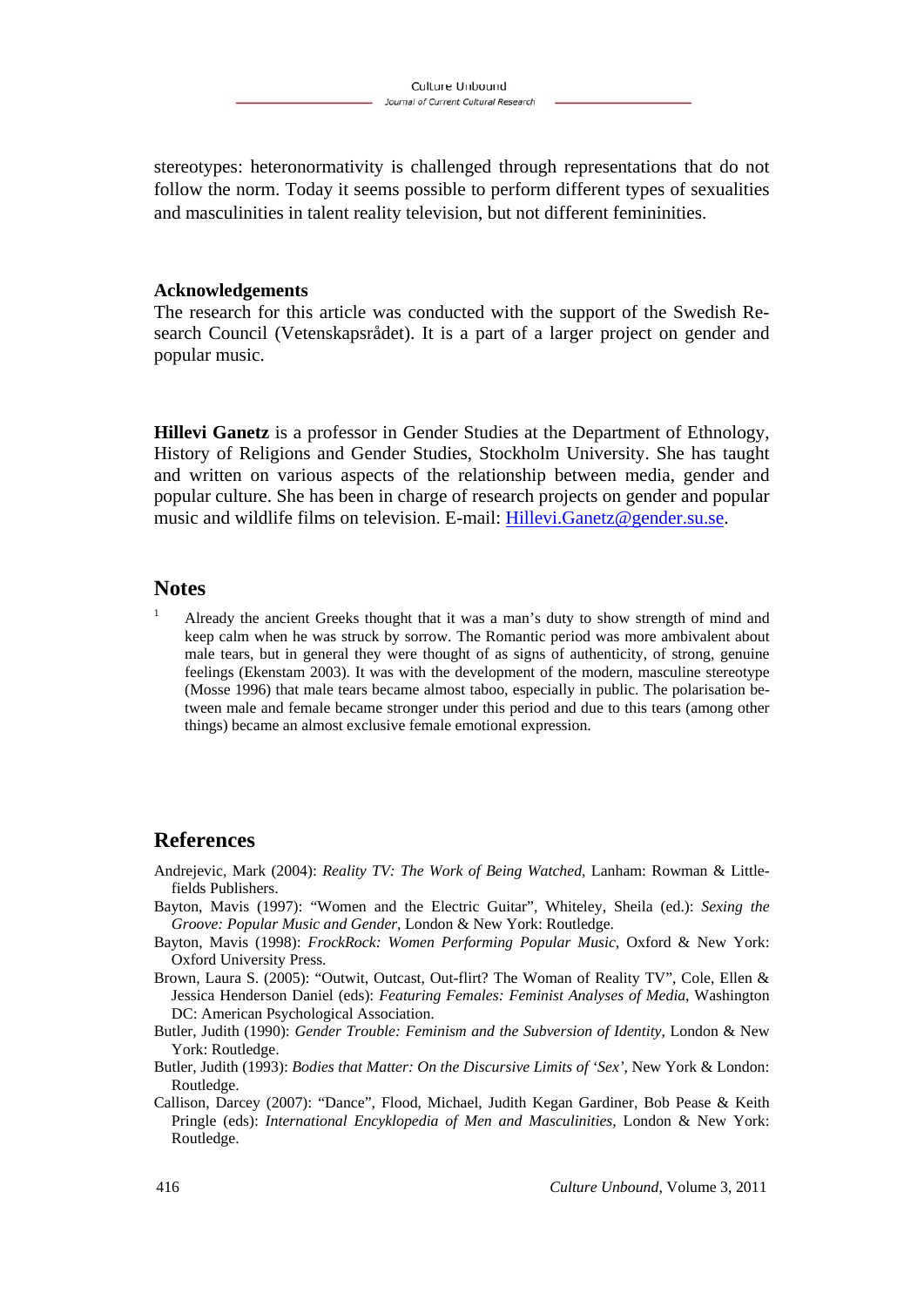stereotypes: heteronormativity is challenged through representations that do not follow the norm. Today it seems possible to perform different types of sexualities and masculinities in talent reality television, but not different femininities.

#### **Acknowledgements**

The research for this article was conducted with the support of the Swedish Research Council (Vetenskapsrådet). It is a part of a larger project on gender and popular music.

**Hillevi Ganetz** is a professor in Gender Studies at the Department of Ethnology, History of Religions and Gender Studies, Stockholm University. She has taught and written on various aspects of the relationship between media, gender and popular culture. She has been in charge of research projects on gender and popular music and wildlife films on television. E-mail: Hillevi.Ganetz@gender.su.se.

#### **Notes**

1 Already the ancient Greeks thought that it was a man's duty to show strength of mind and keep calm when he was struck by sorrow. The Romantic period was more ambivalent about male tears, but in general they were thought of as signs of authenticity, of strong, genuine feelings (Ekenstam 2003). It was with the development of the modern, masculine stereotype (Mosse 1996) that male tears became almost taboo, especially in public. The polarisation between male and female became stronger under this period and due to this tears (among other things) became an almost exclusive female emotional expression.

### **References**

- Andrejevic, Mark (2004): *Reality TV: The Work of Being Watched*, Lanham: Rowman & Littlefields Publishers.
- Bayton, Mavis (1997): "Women and the Electric Guitar", Whiteley, Sheila (ed.): *Sexing the Groove: Popular Music and Gender*, London & New York: Routledge.
- Bayton, Mavis (1998): *FrockRock: Women Performing Popular Music*, Oxford & New York: Oxford University Press.
- Brown, Laura S. (2005): "Outwit, Outcast, Out-flirt? The Woman of Reality TV", Cole, Ellen & Jessica Henderson Daniel (eds): *Featuring Females: Feminist Analyses of Media*, Washington DC: American Psychological Association.
- Butler, Judith (1990): *Gender Trouble: Feminism and the Subversion of Identity*, London & New York: Routledge.
- Butler, Judith (1993): *Bodies that Matter: On the Discursive Limits of 'Sex'*, New York & London: Routledge.
- Callison, Darcey (2007): "Dance", Flood, Michael, Judith Kegan Gardiner, Bob Pease & Keith Pringle (eds): *International Encyklopedia of Men and Masculinities*, London & New York: Routledge.